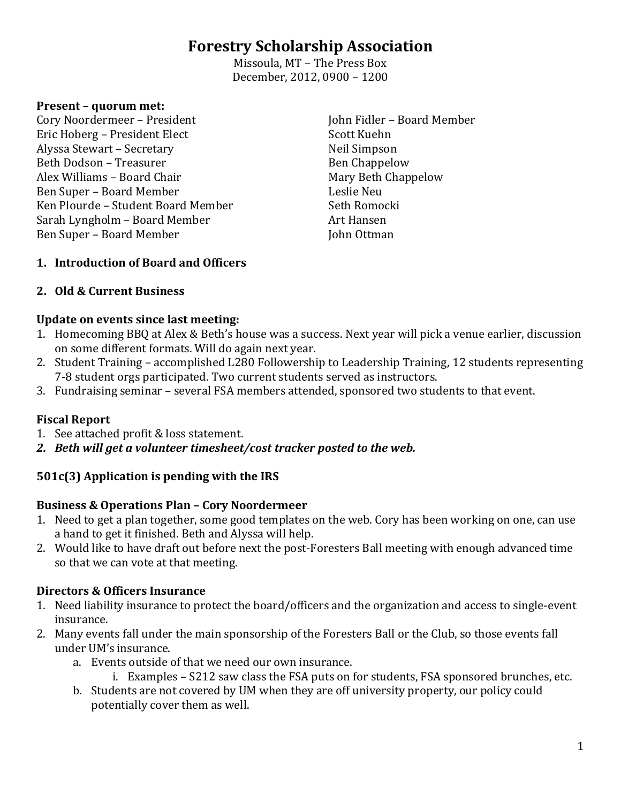# **Forestry Scholarship Association**

Missoula, MT – The Press Box December, 2012, 0900 – 1200

#### **Present – quorum met:**

Cory Noordermeer – President Eric Hoberg – President Elect Alyssa Stewart – Secretary Beth Dodson – Treasurer Alex Williams – Board Chair Ben Super – Board Member Ken Plourde – Student Board Member Sarah Lyngholm – Board Member Ben Super – Board Member

John Fidler – Board Member Scott Kuehn Neil Simpson Ben Chappelow Mary Beth Chappelow Leslie Neu Seth Romocki Art Hansen John Ottman

### **1. Introduction of Board and Officers**

### **2. Old & Current Business**

### **Update on events since last meeting:**

- 1. Homecoming BBQ at Alex & Beth's house was a success. Next year will pick a venue earlier, discussion on some different formats. Will do again next year.
- 2. Student Training accomplished L280 Followership to Leadership Training, 12 students representing 7-8 student orgs participated. Two current students served as instructors.
- 3. Fundraising seminar several FSA members attended, sponsored two students to that event.

### **Fiscal Report**

- 1. See attached profit & loss statement.
- *2. Beth will get a volunteer timesheet/cost tracker posted to the web.*

### **501c(3) Application is pending with the IRS**

### **Business & Operations Plan – Cory Noordermeer**

- 1. Need to get a plan together, some good templates on the web. Cory has been working on one, can use a hand to get it finished. Beth and Alyssa will help.
- 2. Would like to have draft out before next the post-Foresters Ball meeting with enough advanced time so that we can vote at that meeting.

### **Directors & Officers Insurance**

- 1. Need liability insurance to protect the board/officers and the organization and access to single-event insurance.
- 2. Many events fall under the main sponsorship of the Foresters Ball or the Club, so those events fall under UM's insurance.
	- a. Events outside of that we need our own insurance.
		- i. Examples S212 saw class the FSA puts on for students, FSA sponsored brunches, etc.
	- b. Students are not covered by UM when they are off university property, our policy could potentially cover them as well.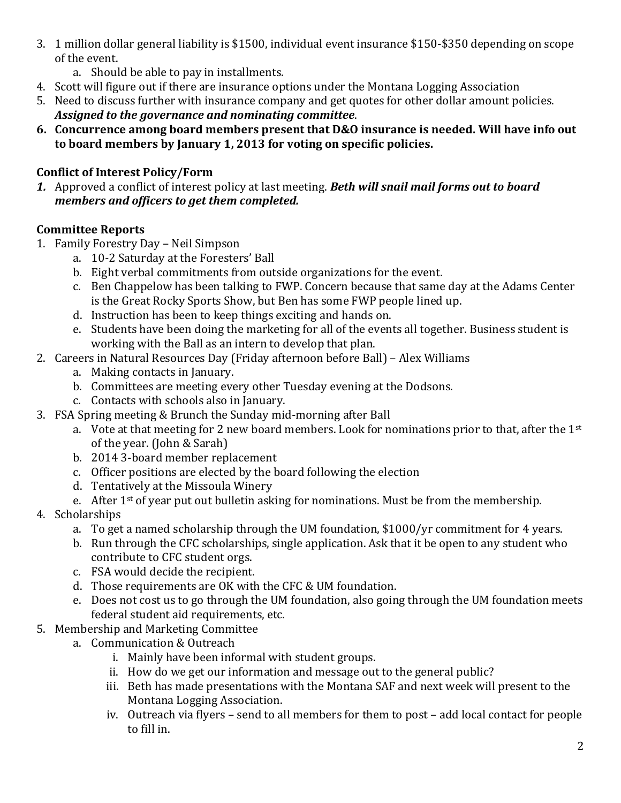- 3. 1 million dollar general liability is \$1500, individual event insurance \$150-\$350 depending on scope of the event.
	- a. Should be able to pay in installments.
- 4. Scott will figure out if there are insurance options under the Montana Logging Association
- 5. Need to discuss further with insurance company and get quotes for other dollar amount policies. *Assigned to the governance and nominating committee*.
- **6. Concurrence among board members present that D&O insurance is needed. Will have info out to board members by January 1, 2013 for voting on specific policies.**

### **Conflict of Interest Policy/Form**

*1.* Approved a conflict of interest policy at last meeting. *Beth will snail mail forms out to board members and officers to get them completed.* 

# **Committee Reports**

- 1. Family Forestry Day Neil Simpson
	- a. 10-2 Saturday at the Foresters' Ball
	- b. Eight verbal commitments from outside organizations for the event.
	- c. Ben Chappelow has been talking to FWP. Concern because that same day at the Adams Center is the Great Rocky Sports Show, but Ben has some FWP people lined up.
	- d. Instruction has been to keep things exciting and hands on.
	- e. Students have been doing the marketing for all of the events all together. Business student is working with the Ball as an intern to develop that plan.
- 2. Careers in Natural Resources Day (Friday afternoon before Ball) Alex Williams
	- a. Making contacts in January.
	- b. Committees are meeting every other Tuesday evening at the Dodsons.
	- c. Contacts with schools also in January.
- 3. FSA Spring meeting & Brunch the Sunday mid-morning after Ball
	- a. Vote at that meeting for 2 new board members. Look for nominations prior to that, after the 1<sup>st</sup> of the year. (John & Sarah)
	- b. 2014 3-board member replacement
	- c. Officer positions are elected by the board following the election
	- d. Tentatively at the Missoula Winery
	- e. After  $1<sup>st</sup>$  of year put out bulletin asking for nominations. Must be from the membership.
- 4. Scholarships
	- a. To get a named scholarship through the UM foundation, \$1000/yr commitment for 4 years.
	- b. Run through the CFC scholarships, single application. Ask that it be open to any student who contribute to CFC student orgs.
	- c. FSA would decide the recipient.
	- d. Those requirements are OK with the CFC & UM foundation.
	- e. Does not cost us to go through the UM foundation, also going through the UM foundation meets federal student aid requirements, etc.
- 5. Membership and Marketing Committee
	- a. Communication & Outreach
		- i. Mainly have been informal with student groups.
		- ii. How do we get our information and message out to the general public?
		- iii. Beth has made presentations with the Montana SAF and next week will present to the Montana Logging Association.
		- iv. Outreach via flyers send to all members for them to post add local contact for people to fill in.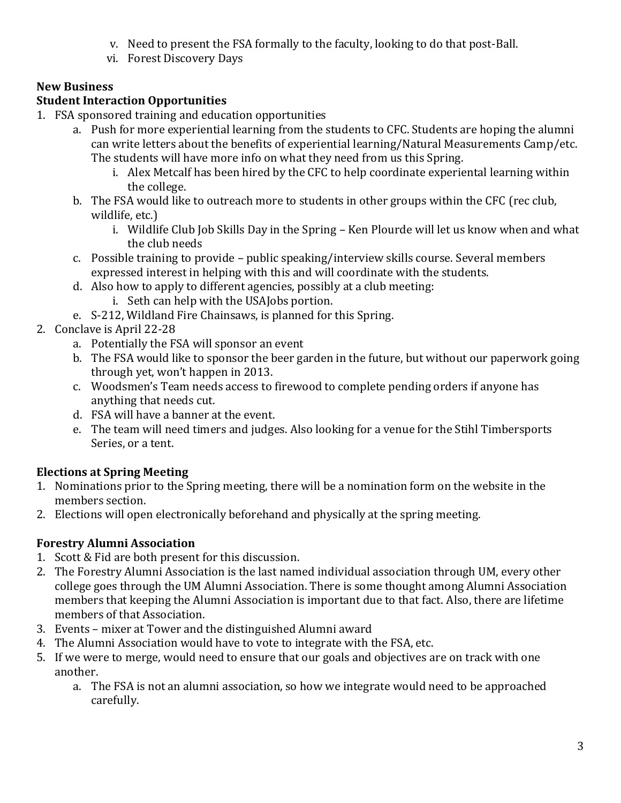- v. Need to present the FSA formally to the faculty, looking to do that post-Ball.
- vi. Forest Discovery Days

### **New Business**

# **Student Interaction Opportunities**

- 1. FSA sponsored training and education opportunities
	- a. Push for more experiential learning from the students to CFC. Students are hoping the alumni can write letters about the benefits of experiential learning/Natural Measurements Camp/etc. The students will have more info on what they need from us this Spring.
		- i. Alex Metcalf has been hired by the CFC to help coordinate experiental learning within the college.
	- b. The FSA would like to outreach more to students in other groups within the CFC (rec club, wildlife, etc.)
		- i. Wildlife Club Job Skills Day in the Spring Ken Plourde will let us know when and what the club needs
	- c. Possible training to provide public speaking/interview skills course. Several members expressed interest in helping with this and will coordinate with the students.
	- d. Also how to apply to different agencies, possibly at a club meeting:
		- i. Seth can help with the USAJobs portion.
	- e. S-212, Wildland Fire Chainsaws, is planned for this Spring.
- 2. Conclave is April 22-28
	- a. Potentially the FSA will sponsor an event
	- b. The FSA would like to sponsor the beer garden in the future, but without our paperwork going through yet, won't happen in 2013.
	- c. Woodsmen's Team needs access to firewood to complete pending orders if anyone has anything that needs cut.
	- d. FSA will have a banner at the event.
	- e. The team will need timers and judges. Also looking for a venue for the Stihl Timbersports Series, or a tent.

# **Elections at Spring Meeting**

- 1. Nominations prior to the Spring meeting, there will be a nomination form on the website in the members section.
- 2. Elections will open electronically beforehand and physically at the spring meeting.

# **Forestry Alumni Association**

- 1. Scott & Fid are both present for this discussion.
- 2. The Forestry Alumni Association is the last named individual association through UM, every other college goes through the UM Alumni Association. There is some thought among Alumni Association members that keeping the Alumni Association is important due to that fact. Also, there are lifetime members of that Association.
- 3. Events mixer at Tower and the distinguished Alumni award
- 4. The Alumni Association would have to vote to integrate with the FSA, etc.
- 5. If we were to merge, would need to ensure that our goals and objectives are on track with one another.
	- a. The FSA is not an alumni association, so how we integrate would need to be approached carefully.